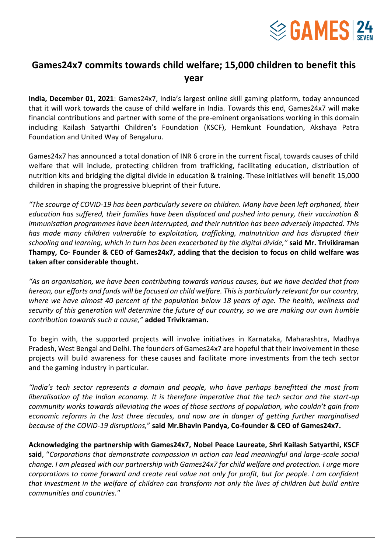

## **Games24x7 commits towards child welfare; 15,000 children to benefit this year**

**India, December 01, 2021**: Games24x7, India's largest online skill gaming platform, today announced that it will work towards the cause of child welfare in India. Towards this end, Games24x7 will make financial contributions and partner with some of the pre-eminent organisations working in this domain including Kailash Satyarthi Children's Foundation (KSCF), Hemkunt Foundation, Akshaya Patra Foundation and United Way of Bengaluru.

Games24x7 has announced a total donation of INR 6 crore in the current fiscal, towards causes of child welfare that will include, protecting children from trafficking, facilitating education, distribution of nutrition kits and bridging the digital divide in education & training. These initiatives will benefit 15,000 children in shaping the progressive blueprint of their future.

*"The scourge of COVID-19 has been particularly severe on children. Many have been left orphaned, their education has suffered, their families have been displaced and pushed into penury, their vaccination & immunisation programmes have been interrupted, and their nutrition has been adversely impacted. This has made many children vulnerable to exploitation, trafficking, malnutrition and has disrupted their schooling and learning, which in turn has been exacerbated by the digital divide,"* **said Mr. Trivikiraman Thampy, Co- Founder & CEO of Games24x7, adding that the decision to focus on child welfare was taken after considerable thought.**

*"As an organisation, we have been contributing towards various causes, but we have decided that from hereon, our efforts and funds will be focused on child welfare. This is particularly relevant for our country, where we have almost 40 percent of the population below 18 years of age. The health, wellness and security of this generation will determine the future of our country, so we are making our own humble contribution towards such a cause,"* **added Trivikraman.**

To begin with, the supported projects will involve initiatives in Karnataka, Maharashtra, Madhya Pradesh, West Bengal and Delhi. The founders of Games24x7 are hopeful that their involvement in these projects will build awareness for these causes and facilitate more investments from the tech sector and the gaming industry in particular.

*"India's tech sector represents a domain and people, who have perhaps benefitted the most from liberalisation of the Indian economy. It is therefore imperative that the tech sector and the start-up community works towards alleviating the woes of those sections of population, who couldn't gain from economic reforms in the last three decades, and now are in danger of getting further marginalised because of the COVID-19 disruptions,*" **said Mr.Bhavin Pandya, Co-founder & CEO of Games24x7.**

**Acknowledging the partnership with Games24x7, Nobel Peace Laureate, Shri Kailash Satyarthi, KSCF said**, "*Corporations that demonstrate compassion in action can lead meaningful and large-scale social change. I am pleased with our partnership with Games24x7 for child welfare and protection. I urge more corporations to come forward and create real value not only for profit, but for people. I am confident that investment in the welfare of children can transform not only the lives of children but build entire communities and countries."*